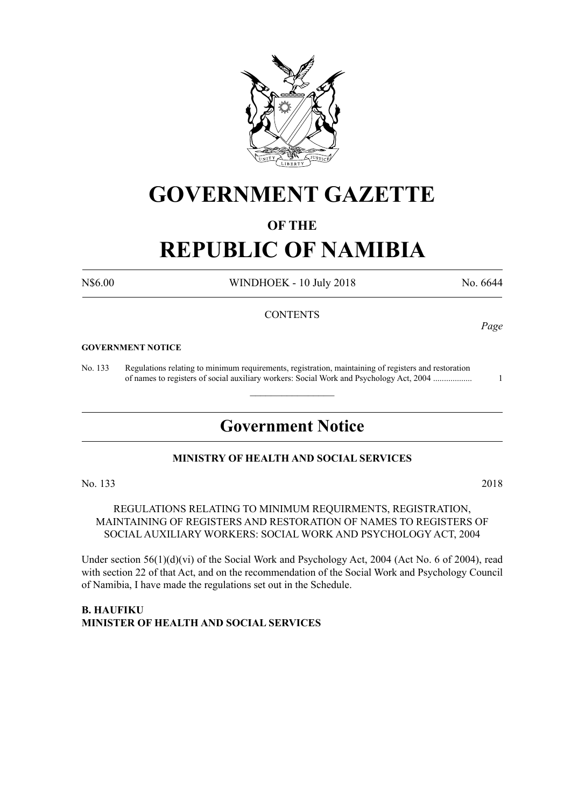

# **GOVERNMENT GAZETTE**

## **OF THE**

# **REPUBLIC OF NAMIBIA**

N\$6.00 WINDHOEK - 10 July 2018 No. 6644

*Page*

#### **CONTENTS**

#### **GOVERNMENT NOTICE**

No. 133 Regulations relating to minimum requirements, registration, maintaining of registers and restoration of names to registers of social auxiliary workers: Social Work and Psychology Act, 2004 .................. 1

# **Government Notice**

 $\overline{\phantom{a}}$  , where  $\overline{\phantom{a}}$ 

## **MINISTRY OF HEALTH AND SOCIAL SERVICES**

No. 133 2018

REGULATIONS RELATING TO MINIMUM REQUIRMENTS, REGISTRATION, MAINTAINING OF REGISTERS AND RESTORATION OF NAMES TO REGISTERS OF SOCIAL AUXILIARY WORKERS: SOCIAL WORK AND PSYCHOLOGY ACT, 2004

Under section 56(1)(d)(vi) of the Social Work and Psychology Act, 2004 (Act No. 6 of 2004), read with section 22 of that Act, and on the recommendation of the Social Work and Psychology Council of Namibia, I have made the regulations set out in the Schedule.

**B. Haufiku Minister of Health and Social Services**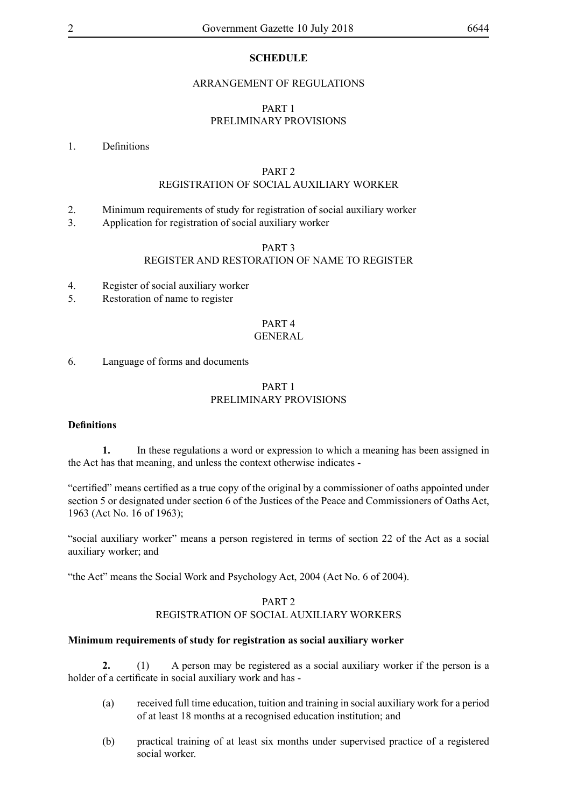#### **SCHEDULE**

#### ARRANGEMENT OF REGULATIONS

#### PART 1 PRELIMINARY PROVISIONS

#### 1. Definitions

#### PART 2

#### REGISTRATION OF SOCIAL AUXILIARY WORKER

- 2. Minimum requirements of study for registration of social auxiliary worker
- 3. Application for registration of social auxiliary worker

#### PART 3

### REGISTER AND RESTORATION OF NAME TO REGISTER

- 4. Register of social auxiliary worker
- 5. Restoration of name to register

# PART 4

### GENERAL

6. Language of forms and documents

#### PART 1 PRELIMINARY PROVISIONS

#### **Definitions**

**1.** In these regulations a word or expression to which a meaning has been assigned in the Act has that meaning, and unless the context otherwise indicates -

"certified" means certified as a true copy of the original by a commissioner of oaths appointed under section 5 or designated under section 6 of the Justices of the Peace and Commissioners of Oaths Act, 1963 (Act No. 16 of 1963);

"social auxiliary worker" means a person registered in terms of section 22 of the Act as a social auxiliary worker; and

"the Act" means the Social Work and Psychology Act, 2004 (Act No. 6 of 2004).

### PART 2 REGISTRATION OF SOCIAL AUXILIARY WORKERS

#### **Minimum requirements of study for registration as social auxiliary worker**

**2.** (1) A person may be registered as a social auxiliary worker if the person is a holder of a certificate in social auxiliary work and has -

- (a) received full time education, tuition and training in social auxiliary work for a period of at least 18 months at a recognised education institution; and
- (b) practical training of at least six months under supervised practice of a registered social worker.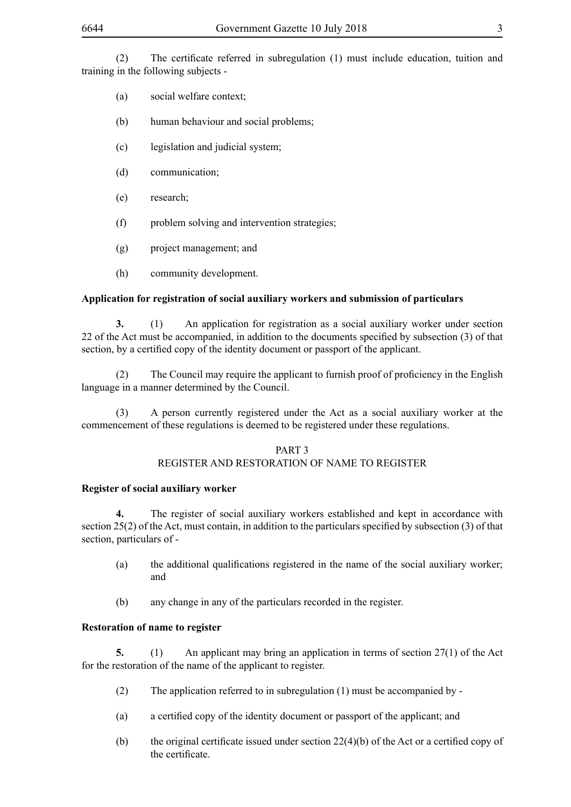(2) The certificate referred in subregulation (1) must include education, tuition and training in the following subjects -

- (a) social welfare context;
- (b) human behaviour and social problems;
- (c) legislation and judicial system;
- (d) communication;
- (e) research;
- (f) problem solving and intervention strategies;
- (g) project management; and
- (h) community development.

#### **Application for registration of social auxiliary workers and submission of particulars**

**3.** (1) An application for registration as a social auxiliary worker under section 22 of the Act must be accompanied, in addition to the documents specified by subsection (3) of that section, by a certified copy of the identity document or passport of the applicant.

(2) The Council may require the applicant to furnish proof of proficiency in the English language in a manner determined by the Council.

(3) A person currently registered under the Act as a social auxiliary worker at the commencement of these regulations is deemed to be registered under these regulations.

#### PART 3 REGISTER AND RESTORATION OF NAME TO REGISTER

#### **Register of social auxiliary worker**

**4.** The register of social auxiliary workers established and kept in accordance with section 25(2) of the Act, must contain, in addition to the particulars specified by subsection (3) of that section, particulars of -

- (a) the additional qualifications registered in the name of the social auxiliary worker; and
- (b) any change in any of the particulars recorded in the register.

### **Restoration of name to register**

**5.** (1) An applicant may bring an application in terms of section 27(1) of the Act for the restoration of the name of the applicant to register.

- (2) The application referred to in subregulation (1) must be accompanied by -
- (a) a certified copy of the identity document or passport of the applicant; and
- (b) the original certificate issued under section  $22(4)(b)$  of the Act or a certified copy of the certificate.